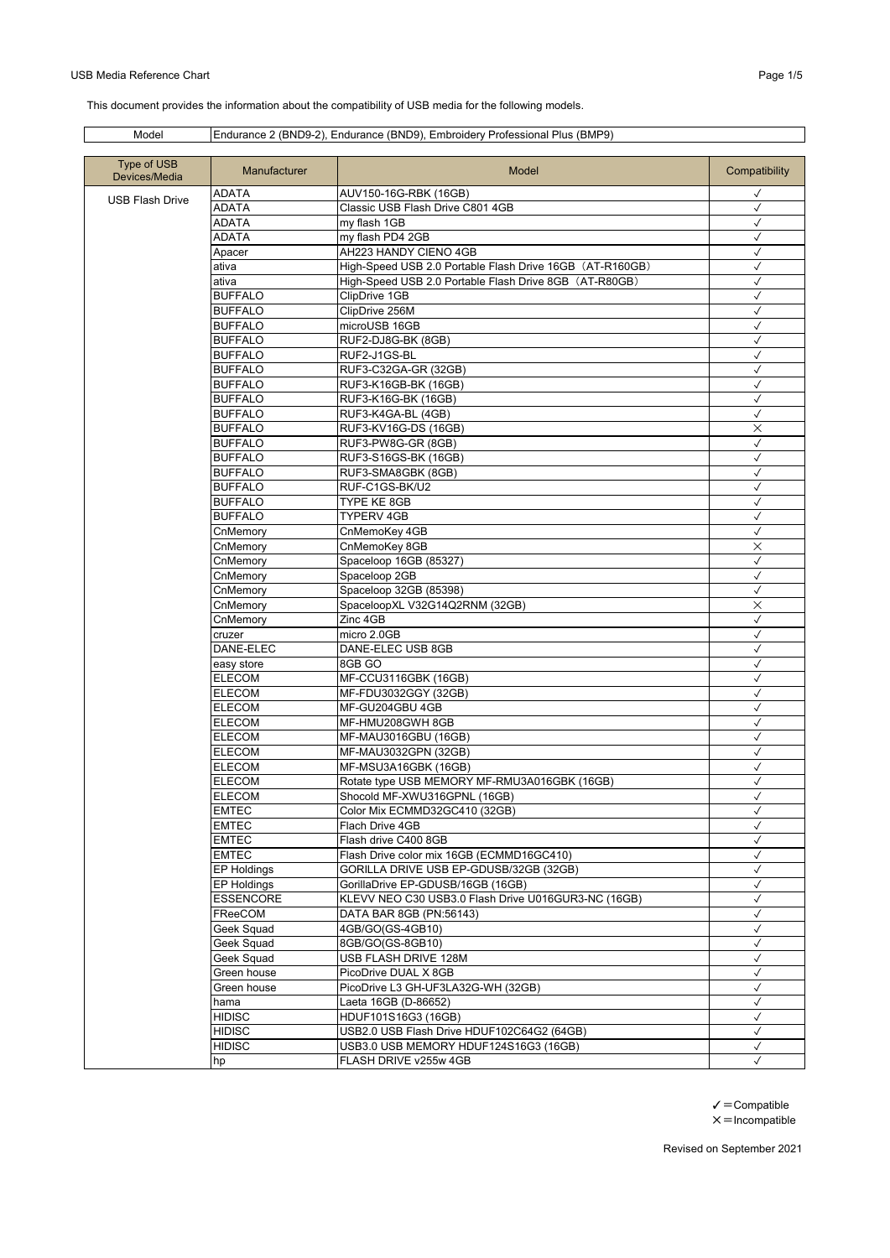## USB Media Reference Chart **Page 1/5** and the USB Media Reference Chart Page 1/5

This document provides the information about the compatibility of USB media for the following models.

## Model Endurance 2 (BND9-2), Endurance (BND9), Embroidery Professional Plus (BMP9)

| Type of USB<br>Devices/Media | <b>Manufacturer</b> | Model                                                    | Compatibility |
|------------------------------|---------------------|----------------------------------------------------------|---------------|
|                              | ADATA               | AUV150-16G-RBK (16GB)                                    | ✓             |
| <b>USB Flash Drive</b>       | <b>ADATA</b>        | Classic USB Flash Drive C801 4GB                         | $\checkmark$  |
|                              | <b>ADATA</b>        | my flash 1GB                                             | $\checkmark$  |
|                              | ADATA               | my flash PD4 2GB                                         | $\checkmark$  |
|                              | Apacer              | AH223 HANDY CIENO 4GB                                    | $\checkmark$  |
|                              | ativa               | High-Speed USB 2.0 Portable Flash Drive 16GB (AT-R160GB) | ✓             |
|                              | ativa               | High-Speed USB 2.0 Portable Flash Drive 8GB (AT-R80GB)   | $\checkmark$  |
|                              | <b>BUFFALO</b>      | ClipDrive 1GB                                            | $\checkmark$  |
|                              | <b>BUFFALO</b>      | ClipDrive 256M                                           | $\checkmark$  |
|                              | <b>BUFFALO</b>      | microUSB 16GB                                            | $\checkmark$  |
|                              | <b>BUFFALO</b>      | RUF2-DJ8G-BK (8GB)                                       | √             |
|                              | <b>BUFFALO</b>      | RUF2-J1GS-BL                                             | $\checkmark$  |
|                              | <b>BUFFALO</b>      | RUF3-C32GA-GR (32GB)                                     | $\checkmark$  |
|                              | <b>BUFFALO</b>      | RUF3-K16GB-BK (16GB)                                     | $\checkmark$  |
|                              | <b>BUFFALO</b>      | RUF3-K16G-BK (16GB)                                      | $\checkmark$  |
|                              | <b>BUFFALO</b>      | RUF3-K4GA-BL (4GB)                                       | $\checkmark$  |
|                              | <b>BUFFALO</b>      | RUF3-KV16G-DS (16GB)                                     | ×             |
|                              | <b>BUFFALO</b>      | RUF3-PW8G-GR (8GB)                                       | $\checkmark$  |
|                              | <b>BUFFALO</b>      | RUF3-S16GS-BK (16GB)                                     | $\checkmark$  |
|                              | <b>BUFFALO</b>      | RUF3-SMA8GBK (8GB)                                       | ✓             |
|                              | <b>BUFFALO</b>      | RUF-C1GS-BK/U2                                           | $\checkmark$  |
|                              | <b>BUFFALO</b>      | TYPE KE 8GB                                              | $\checkmark$  |
|                              | <b>BUFFALO</b>      | <b>TYPERV 4GB</b>                                        | $\checkmark$  |
|                              | CnMemorv            | CnMemoKey 4GB                                            | $\checkmark$  |
|                              | CnMemory            | CnMemoKey 8GB                                            | $\times$      |
|                              | CnMemory            | Spaceloop 16GB (85327)                                   | $\checkmark$  |
|                              | CnMemory            | Spaceloop 2GB                                            | $\checkmark$  |
|                              | CnMemory            | Spaceloop 32GB (85398)                                   | $\checkmark$  |
|                              | CnMemory            | SpaceloopXL V32G14Q2RNM (32GB)                           | $\times$      |
|                              | CnMemory            | Zinc 4GB                                                 | $\checkmark$  |
|                              | cruzer              | micro 2.0GB                                              | ✓             |
|                              | DANE-ELEC           | DANE-ELEC USB 8GB                                        | $\checkmark$  |
|                              | easy store          | 8GB GO                                                   | $\checkmark$  |
|                              | <b>ELECOM</b>       | MF-CCU3116GBK (16GB)                                     | $\checkmark$  |
|                              | <b>ELECOM</b>       | MF-FDU3032GGY (32GB)                                     | $\checkmark$  |
|                              | <b>ELECOM</b>       | MF-GU204GBU 4GB                                          | $\checkmark$  |
|                              | <b>ELECOM</b>       | MF-HMU208GWH 8GB                                         | $\checkmark$  |
|                              | <b>ELECOM</b>       | MF-MAU3016GBU (16GB)                                     | $\checkmark$  |
|                              | <b>ELECOM</b>       | MF-MAU3032GPN (32GB)                                     | $\checkmark$  |
|                              | <b>ELECOM</b>       | MF-MSU3A16GBK (16GB)                                     | $\checkmark$  |
|                              | <b>ELECOM</b>       | Rotate type USB MEMORY MF-RMU3A016GBK (16GB)             | $\checkmark$  |
|                              | <b>ELECOM</b>       | Shocold MF-XWU316GPNL (16GB)                             | ✓             |
|                              | <b>EMTEC</b>        | Color Mix ECMMD32GC410 (32GB)                            | $\checkmark$  |
|                              | <b>EMTEC</b>        | Flach Drive 4GB                                          | $\checkmark$  |
|                              | <b>EMTEC</b>        | Flash drive C400 8GB                                     | $\checkmark$  |
|                              | <b>EMTEC</b>        | Flash Drive color mix 16GB (ECMMD16GC410)                | $\checkmark$  |
|                              | EP Holdings         | GORILLA DRIVE USB EP-GDUSB/32GB (32GB)                   | $\checkmark$  |
|                              | <b>EP Holdings</b>  | GorillaDrive EP-GDUSB/16GB (16GB)                        | $\checkmark$  |
|                              | <b>ESSENCORE</b>    | KLEVV NEO C30 USB3.0 Flash Drive U016GUR3-NC (16GB)      | $\checkmark$  |
|                              | FReeCOM             | DATA BAR 8GB (PN:56143)                                  | $\checkmark$  |
|                              | Geek Squad          | 4GB/GO(GS-4GB10)                                         | $\checkmark$  |
|                              | Geek Squad          | 8GB/GO(GS-8GB10)                                         | $\checkmark$  |
|                              | Geek Squad          | USB FLASH DRIVE 128M                                     | $\checkmark$  |
|                              | Green house         | PicoDrive DUAL X 8GB                                     | $\checkmark$  |
|                              | Green house         | PicoDrive L3 GH-UF3LA32G-WH (32GB)                       | $\checkmark$  |
|                              | hama                | Laeta 16GB (D-86652)                                     | $\checkmark$  |
|                              | <b>HIDISC</b>       | HDUF101S16G3 (16GB)                                      | $\checkmark$  |
|                              | <b>HIDISC</b>       | USB2.0 USB Flash Drive HDUF102C64G2 (64GB)               | $\checkmark$  |
|                              | <b>HIDISC</b>       | USB3.0 USB MEMORY HDUF124S16G3 (16GB)                    | ✓             |
|                              | hp                  | FLASH DRIVE v255w 4GB                                    | $\checkmark$  |
|                              |                     |                                                          |               |

 $\checkmark$  = Compatible  $x =$ Incompatible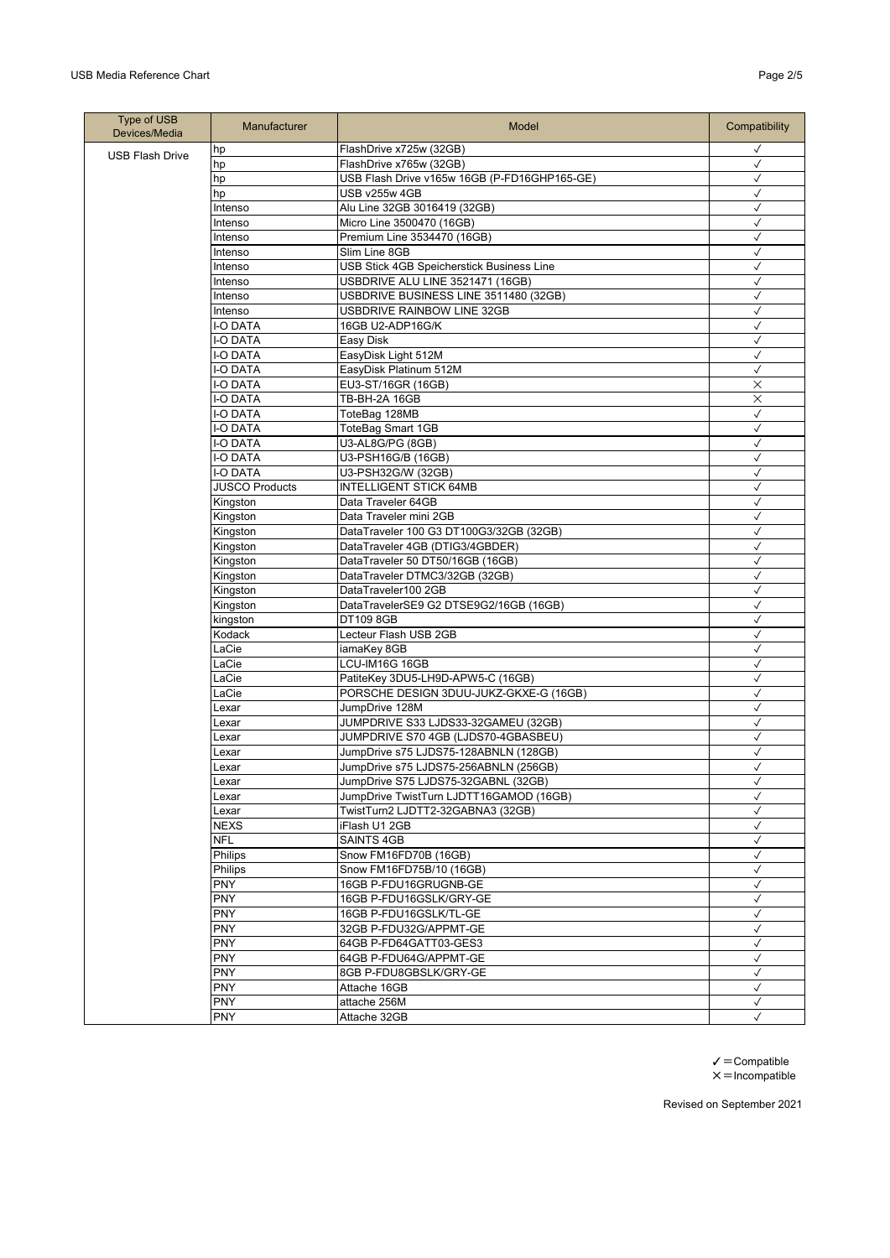| Type of USB<br>Devices/Media | <b>Manufacturer</b>   | <b>Model</b>                                 | Compatibility                |
|------------------------------|-----------------------|----------------------------------------------|------------------------------|
| <b>USB Flash Drive</b>       | hp                    | FlashDrive x725w (32GB)                      | $\checkmark$                 |
|                              | hp                    | FlashDrive x765w (32GB)                      | $\checkmark$                 |
|                              | hp                    | USB Flash Drive v165w 16GB (P-FD16GHP165-GE) | $\checkmark$                 |
|                              | hp                    | USB v255w 4GB                                | $\checkmark$                 |
|                              | Intenso               | Alu Line 32GB 3016419 (32GB)                 | $\checkmark$                 |
|                              | Intenso               | Micro Line 3500470 (16GB)                    | $\checkmark$                 |
|                              | Intenso               | Premium Line 3534470 (16GB)                  | $\checkmark$                 |
|                              | Intenso               | Slim Line 8GB                                | $\checkmark$                 |
|                              | Intenso               | USB Stick 4GB Speicherstick Business Line    | $\checkmark$                 |
|                              | Intenso               | USBDRIVE ALU LINE 3521471 (16GB)             | $\checkmark$                 |
|                              | Intenso               | USBDRIVE BUSINESS LINE 3511480 (32GB)        | $\checkmark$                 |
|                              | Intenso               | USBDRIVE RAINBOW LINE 32GB                   | $\checkmark$                 |
|                              | I-O DATA              | 16GB U2-ADP16G/K                             | $\checkmark$                 |
|                              | I-O DATA              | Easy Disk                                    | $\checkmark$                 |
|                              | I-O DATA              | EasyDisk Light 512M                          | $\checkmark$                 |
|                              | I-O DATA              | EasyDisk Platinum 512M                       | $\checkmark$                 |
|                              | I-O DATA              | EU3-ST/16GR (16GB)                           | $\times$                     |
|                              | I-O DATA              | TB-BH-2A 16GB                                | $\times$                     |
|                              | I-O DATA              | ToteBag 128MB                                | $\checkmark$                 |
|                              | <b>-O DATA</b>        | <b>ToteBag Smart 1GB</b>                     | $\checkmark$                 |
|                              | <b>I-O DATA</b>       | U3-AL8G/PG (8GB)                             | $\checkmark$                 |
|                              | I-O DATA              | U3-PSH16G/B (16GB)                           | $\checkmark$                 |
|                              | I-O DATA              | U3-PSH32G/W (32GB)                           | $\checkmark$                 |
|                              | <b>JUSCO Products</b> | <b>INTELLIGENT STICK 64MB</b>                | $\checkmark$                 |
|                              | Kingston              | Data Traveler 64GB                           | $\checkmark$                 |
|                              | Kingston              | Data Traveler mini 2GB                       | $\checkmark$                 |
|                              | Kingston              | DataTraveler 100 G3 DT100G3/32GB (32GB)      | $\checkmark$                 |
|                              | Kingston              | DataTraveler 4GB (DTIG3/4GBDER)              | $\checkmark$                 |
|                              | Kingston              | DataTraveler 50 DT50/16GB (16GB)             | $\checkmark$                 |
|                              | Kingston              | DataTraveler DTMC3/32GB (32GB)               | $\checkmark$                 |
|                              | Kingston              | DataTraveler100 2GB                          | $\checkmark$                 |
|                              | Kingston              | DataTravelerSE9 G2 DTSE9G2/16GB (16GB)       | $\checkmark$                 |
|                              | kingston              | DT109 8GB                                    | $\checkmark$                 |
|                              | Kodack                | Lecteur Flash USB 2GB                        | $\checkmark$                 |
|                              | LaCie                 | iamaKey 8GB                                  | $\checkmark$                 |
|                              | LaCie                 | LCU-IM16G 16GB                               | $\checkmark$                 |
|                              | LaCie                 | PatiteKey 3DU5-LH9D-APW5-C (16GB)            | $\checkmark$                 |
|                              | LaCie                 | PORSCHE DESIGN 3DUU-JUKZ-GKXE-G (16GB)       | $\checkmark$                 |
|                              | Lexar                 | JumpDrive 128M                               | $\checkmark$                 |
|                              |                       | JUMPDRIVE S33 LJDS33-32GAMEU (32GB)          | $\checkmark$                 |
|                              | Lexar                 | JUMPDRIVE S70 4GB (LJDS70-4GBASBEU)          | $\checkmark$                 |
|                              | Lexar                 | JumpDrive s75 LJDS75-128ABNLN (128GB)        | $\checkmark$                 |
|                              | Lexar                 | JumpDrive s75 LJDS75-256ABNLN (256GB)        | $\checkmark$                 |
|                              | Lexar                 | JumpDrive S75 LJDS75-32GABNL (32GB)          |                              |
|                              | Lexar                 | JumpDrive TwistTurn LJDTT16GAMOD (16GB)      | $\checkmark$                 |
|                              | Lexar                 | TwistTurn2 LJDTT2-32GABNA3 (32GB)            | $\checkmark$                 |
|                              | Lexar                 |                                              |                              |
|                              | <b>NEXS</b>           | iFlash U1 2GB                                | $\checkmark$                 |
|                              | NFL                   | SAINTS 4GB                                   | $\checkmark$<br>$\checkmark$ |
|                              | Philips               | Snow FM16FD70B (16GB)                        |                              |
|                              | Philips               | Snow FM16FD75B/10 (16GB)                     | $\checkmark$                 |
|                              | <b>PNY</b>            | 16GB P-FDU16GRUGNB-GE                        | $\checkmark$                 |
|                              | <b>PNY</b>            | 16GB P-FDU16GSLK/GRY-GE                      | $\checkmark$                 |
|                              | <b>PNY</b>            | 16GB P-FDU16GSLK/TL-GE                       | $\checkmark$                 |
|                              | <b>PNY</b>            | 32GB P-FDU32G/APPMT-GE                       | $\checkmark$                 |
|                              | <b>PNY</b>            | 64GB P-FD64GATT03-GES3                       | $\checkmark$                 |
|                              | <b>PNY</b>            | 64GB P-FDU64G/APPMT-GE                       | $\checkmark$                 |
|                              | <b>PNY</b>            | 8GB P-FDU8GBSLK/GRY-GE                       | $\checkmark$                 |
|                              | <b>PNY</b>            | Attache 16GB                                 | $\checkmark$                 |
|                              | <b>PNY</b>            | attache 256M                                 | $\checkmark$                 |
|                              | PNY                   | Attache 32GB                                 | ✓                            |

 $\checkmark$  = Compatible  $x =$ Incompatible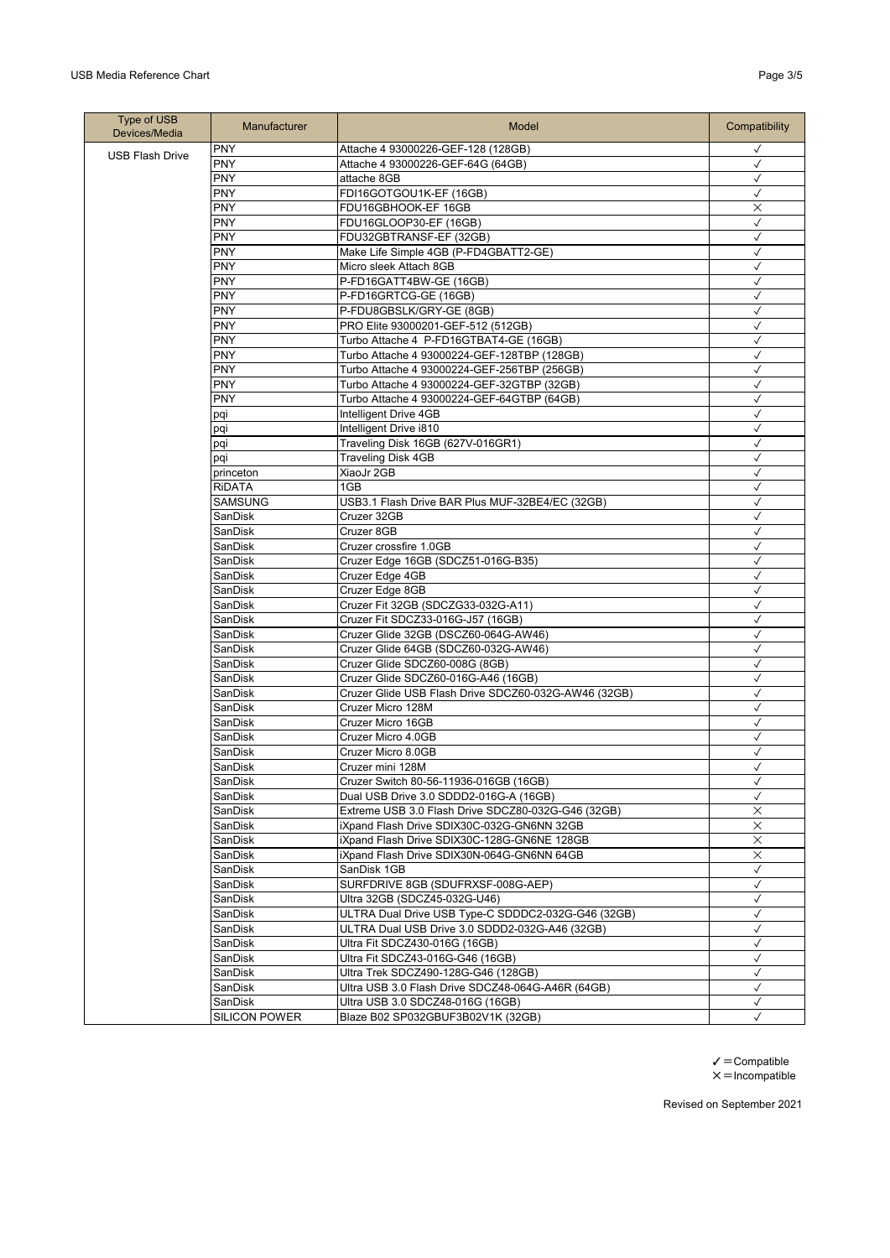| Type of USB<br>Devices/Media | <b>Manufacturer</b>  | Model                                                | Compatibility |
|------------------------------|----------------------|------------------------------------------------------|---------------|
| <b>USB Flash Drive</b>       | PNY                  | Attache 4 93000226-GEF-128 (128GB)                   | $\checkmark$  |
|                              | <b>PNY</b>           | Attache 4 93000226-GEF-64G (64GB)                    | $\checkmark$  |
|                              | <b>PNY</b>           | attache 8GB                                          | $\checkmark$  |
|                              | PNY                  | FDI16GOTGOU1K-EF (16GB)                              | $\checkmark$  |
|                              | <b>PNY</b>           | FDU16GBHOOK-EF 16GB                                  | $\times$      |
|                              | <b>PNY</b>           | FDU16GLOOP30-EF (16GB)                               | $\checkmark$  |
|                              | PNY                  | FDU32GBTRANSF-EF (32GB)                              | $\checkmark$  |
|                              | <b>PNY</b>           | Make Life Simple 4GB (P-FD4GBATT2-GE)                | $\checkmark$  |
|                              | <b>PNY</b>           | Micro sleek Attach 8GB                               | $\checkmark$  |
|                              | <b>PNY</b>           | P-FD16GATT4BW-GE (16GB)                              | $\checkmark$  |
|                              | <b>PNY</b>           | P-FD16GRTCG-GE (16GB)                                | $\checkmark$  |
|                              | <b>PNY</b>           | P-FDU8GBSLK/GRY-GE (8GB)                             | $\checkmark$  |
|                              | <b>PNY</b>           | PRO Elite 93000201-GEF-512 (512GB)                   | $\checkmark$  |
|                              | <b>PNY</b>           | Turbo Attache 4 P-FD16GTBAT4-GE (16GB)               | $\checkmark$  |
|                              | <b>PNY</b>           | Turbo Attache 4 93000224-GEF-128TBP (128GB)          | $\checkmark$  |
|                              | <b>PNY</b>           | Turbo Attache 4 93000224-GEF-256TBP (256GB)          | $\checkmark$  |
|                              | <b>PNY</b>           | Turbo Attache 4 93000224-GEF-32GTBP (32GB)           | $\checkmark$  |
|                              | PNY                  | Turbo Attache 4 93000224-GEF-64GTBP (64GB)           | $\checkmark$  |
|                              | pqi                  | Intelligent Drive 4GB                                | $\checkmark$  |
|                              | pqi                  | Intelligent Drive i810                               | $\checkmark$  |
|                              | pqi                  | Traveling Disk 16GB (627V-016GR1)                    | $\checkmark$  |
|                              | pqi                  | <b>Traveling Disk 4GB</b>                            | $\checkmark$  |
|                              | princeton            | XiaoJr 2GB                                           | $\checkmark$  |
|                              | RIDATA               | 1GB                                                  | $\checkmark$  |
|                              | SAMSUNG              | USB3.1 Flash Drive BAR Plus MUF-32BE4/EC (32GB)      | $\checkmark$  |
|                              | SanDisk              | Cruzer 32GB                                          | $\checkmark$  |
|                              | SanDisk              | Cruzer 8GB                                           | $\checkmark$  |
|                              | SanDisk              | Cruzer crossfire 1.0GB                               | $\checkmark$  |
|                              | SanDisk              | Cruzer Edge 16GB (SDCZ51-016G-B35)                   | $\checkmark$  |
|                              | SanDisk              | Cruzer Edge 4GB                                      | $\checkmark$  |
|                              | SanDisk              | Cruzer Edge 8GB                                      | $\checkmark$  |
|                              | SanDisk              | Cruzer Fit 32GB (SDCZG33-032G-A11)                   | $\checkmark$  |
|                              | SanDisk              | Cruzer Fit SDCZ33-016G-J57 (16GB)                    | $\checkmark$  |
|                              | SanDisk              | Cruzer Glide 32GB (DSCZ60-064G-AW46)                 | $\checkmark$  |
|                              | SanDisk              | Cruzer Glide 64GB (SDCZ60-032G-AW46)                 | $\checkmark$  |
|                              | SanDisk              | Cruzer Glide SDCZ60-008G (8GB)                       | $\checkmark$  |
|                              | SanDisk              | Cruzer Glide SDCZ60-016G-A46 (16GB)                  | $\checkmark$  |
|                              | SanDisk              | Cruzer Glide USB Flash Drive SDCZ60-032G-AW46 (32GB) | $\checkmark$  |
|                              | SanDisk              | Cruzer Micro 128M                                    | $\checkmark$  |
|                              | SanDisk              | Cruzer Micro 16GB                                    | $\checkmark$  |
|                              | SanDisk              | Cruzer Micro 4.0GB                                   | $\checkmark$  |
|                              | SanDisk              | Cruzer Micro 8.0GB                                   | $\checkmark$  |
|                              | SanDisk              | Cruzer mini 128M                                     | $\checkmark$  |
|                              | SanDisk              | Cruzer Switch 80-56-11936-016GB (16GB)               | $\checkmark$  |
|                              | SanDisk              | Dual USB Drive 3.0 SDDD2-016G-A (16GB)               | $\checkmark$  |
|                              | SanDisk              | Extreme USB 3.0 Flash Drive SDCZ80-032G-G46 (32GB)   | ×             |
|                              | SanDisk              | iXpand Flash Drive SDIX30C-032G-GN6NN 32GB           | $\times$      |
|                              | SanDisk              | iXpand Flash Drive SDIX30C-128G-GN6NE 128GB          | $\times$      |
|                              | SanDisk              | iXpand Flash Drive SDIX30N-064G-GN6NN 64GB           | X             |
|                              | SanDisk              | SanDisk 1GB                                          | $\checkmark$  |
|                              | SanDisk              | SURFDRIVE 8GB (SDUFRXSF-008G-AEP)                    | $\checkmark$  |
|                              | SanDisk              | Ultra 32GB (SDCZ45-032G-U46)                         | $\checkmark$  |
|                              | SanDisk              | ULTRA Dual Drive USB Type-C SDDDC2-032G-G46 (32GB)   | $\checkmark$  |
|                              | SanDisk              | ULTRA Dual USB Drive 3.0 SDDD2-032G-A46 (32GB)       | $\checkmark$  |
|                              | SanDisk              | Ultra Fit SDCZ430-016G (16GB)                        | $\checkmark$  |
|                              | SanDisk              | Ultra Fit SDCZ43-016G-G46 (16GB)                     | $\checkmark$  |
|                              | SanDisk              | Ultra Trek SDCZ490-128G-G46 (128GB)                  | $\checkmark$  |
|                              | SanDisk              | Ultra USB 3.0 Flash Drive SDCZ48-064G-A46R (64GB)    | $\checkmark$  |
|                              | SanDisk              | Ultra USB 3.0 SDCZ48-016G (16GB)                     | $\checkmark$  |
|                              | <b>SILICON POWER</b> | Blaze B02 SP032GBUF3B02V1K (32GB)                    | $\checkmark$  |

 $\checkmark$  = Compatible  $x =$ Incompatible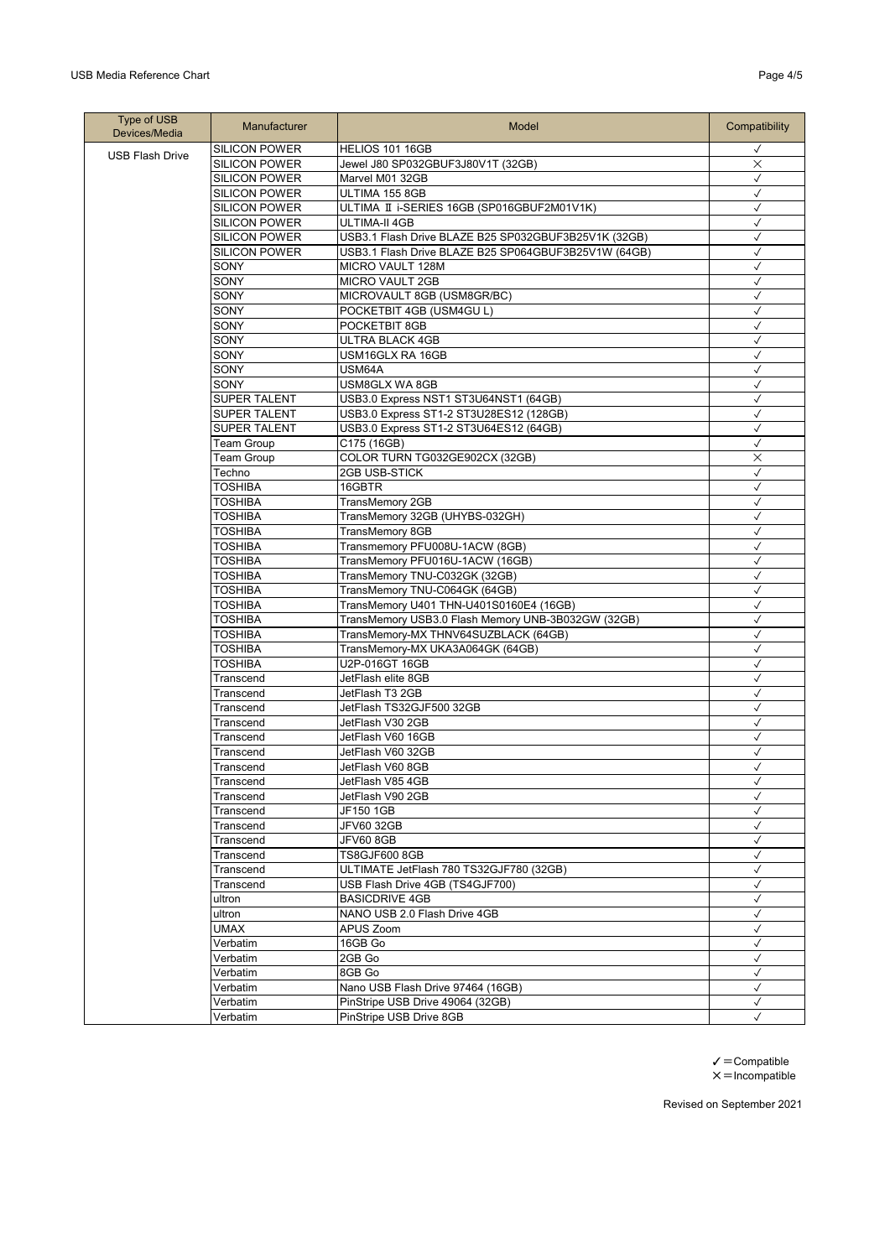## USB Media Reference Chart **Page 4/5** and the USB Media Reference Chart Page 4/5

| Type of USB<br>Devices/Media | <b>Manufacturer</b>    | Model                                                           | Compatibility                |
|------------------------------|------------------------|-----------------------------------------------------------------|------------------------------|
| <b>USB Flash Drive</b>       | <b>SILICON POWER</b>   | HELIOS 101 16GB                                                 | $\checkmark$                 |
|                              | <b>SILICON POWER</b>   | Jewel J80 SP032GBUF3J80V1T (32GB)                               | ×                            |
|                              | <b>SILICON POWER</b>   | Marvel M01 32GB                                                 | $\checkmark$                 |
|                              | <b>SILICON POWER</b>   | ULTIMA 155 8GB                                                  | $\checkmark$                 |
|                              | <b>SILICON POWER</b>   | ULTIMA II i-SERIES 16GB (SP016GBUF2M01V1K)                      | $\checkmark$                 |
|                              | <b>SILICON POWER</b>   | ULTIMA-II 4GB                                                   | $\checkmark$                 |
|                              | <b>SILICON POWER</b>   | USB3.1 Flash Drive BLAZE B25 SP032GBUF3B25V1K (32GB)            | $\checkmark$                 |
|                              | <b>SILICON POWER</b>   | USB3.1 Flash Drive BLAZE B25 SP064GBUF3B25V1W (64GB)            | $\checkmark$                 |
|                              | SONY                   | MICRO VAULT 128M                                                | $\checkmark$                 |
|                              | SONY                   | <b>MICRO VAULT 2GB</b>                                          | $\checkmark$                 |
|                              | SONY                   | MICROVAULT 8GB (USM8GR/BC)                                      | $\checkmark$                 |
|                              | SONY                   | POCKETBIT 4GB (USM4GU L)                                        | $\checkmark$                 |
|                              | SONY                   | POCKETBIT 8GB                                                   | $\checkmark$                 |
|                              | SONY                   | <b>ULTRA BLACK 4GB</b>                                          | $\checkmark$                 |
|                              | SONY                   | USM16GLX RA 16GB                                                | $\checkmark$                 |
|                              | SONY                   | USM64A                                                          | $\checkmark$                 |
|                              | SONY                   | USM8GLX WA 8GB                                                  | $\checkmark$                 |
|                              | <b>SUPER TALENT</b>    | USB3.0 Express NST1 ST3U64NST1 (64GB)                           | $\checkmark$                 |
|                              | <b>SUPER TALENT</b>    | USB3.0 Express ST1-2 ST3U28ES12 (128GB)                         | $\checkmark$                 |
|                              | <b>SUPER TALENT</b>    | USB3.0 Express ST1-2 ST3U64ES12 (64GB)                          | $\checkmark$                 |
|                              | <b>Team Group</b>      | C175 (16GB)                                                     | $\checkmark$                 |
|                              | Team Group             | COLOR TURN TG032GE902CX (32GB)                                  | $\times$                     |
|                              | Techno                 | 2GB USB-STICK                                                   | $\checkmark$                 |
|                              | TOSHIBA                | 16GBTR                                                          | $\checkmark$                 |
|                              | <b>TOSHIBA</b>         | TransMemory 2GB                                                 | $\checkmark$                 |
|                              | <b>TOSHIBA</b>         | TransMemory 32GB (UHYBS-032GH)                                  | $\checkmark$                 |
|                              | TOSHIBA                | <b>TransMemory 8GB</b>                                          | $\checkmark$                 |
|                              | <b>TOSHIBA</b>         | Transmemory PFU008U-1ACW (8GB)                                  | $\checkmark$                 |
|                              | TOSHIBA                | TransMemory PFU016U-1ACW (16GB)                                 | $\checkmark$                 |
|                              | <b>TOSHIBA</b>         | TransMemory TNU-C032GK (32GB)                                   | $\checkmark$                 |
|                              | <b>TOSHIBA</b>         | TransMemory TNU-C064GK (64GB)                                   | $\checkmark$                 |
|                              | <b>TOSHIBA</b>         | TransMemory U401 THN-U401S0160E4 (16GB)                         | $\checkmark$                 |
|                              | <b>TOSHIBA</b>         | TransMemory USB3.0 Flash Memory UNB-3B032GW (32GB)              | $\checkmark$                 |
|                              | <b>TOSHIBA</b>         | TransMemory-MX THNV64SUZBLACK (64GB)                            | $\checkmark$                 |
|                              | TOSHIBA                | TransMemory-MX UKA3A064GK (64GB)                                | $\checkmark$                 |
|                              | TOSHIBA                | U2P-016GT 16GB                                                  | $\checkmark$                 |
|                              | Transcend              | JetFlash elite 8GB                                              | $\checkmark$                 |
|                              | Transcend              | JetFlash T3 2GB                                                 | $\checkmark$                 |
|                              | Transcend              | JetFlash TS32GJF500 32GB                                        | $\checkmark$                 |
|                              | Transcend              | JetFlash V30 2GB                                                | $\checkmark$                 |
|                              | Transcend              | JetFlash V60 16GB                                               | $\checkmark$                 |
|                              | Transcend              | JetFlash V60 32GB                                               | $\checkmark$                 |
|                              | Transcend              | JetFlash V60 8GB                                                | ✓                            |
|                              | Transcend              | JetFlash V85 4GB                                                | $\checkmark$<br>$\checkmark$ |
|                              | Transcend              | JetFlash V90 2GB                                                |                              |
|                              | Transcend              | JF150 1GB                                                       | $\checkmark$                 |
|                              | Transcend              | <b>JFV60 32GB</b>                                               | $\checkmark$                 |
|                              | Transcend              | JFV60 8GB                                                       | $\checkmark$<br>$\checkmark$ |
|                              | Transcend<br>Transcend | <b>TS8GJF600 8GB</b><br>ULTIMATE JetFlash 780 TS32GJF780 (32GB) | $\checkmark$                 |
|                              |                        | USB Flash Drive 4GB (TS4GJF700)                                 | $\checkmark$                 |
|                              | Transcend              | <b>BASICDRIVE 4GB</b>                                           | $\checkmark$                 |
|                              | ultron<br>ultron       | NANO USB 2.0 Flash Drive 4GB                                    | $\checkmark$                 |
|                              | UMAX                   | APUS Zoom                                                       | $\checkmark$                 |
|                              | Verbatim               | 16GB Go                                                         | $\checkmark$                 |
|                              | Verbatim               | 2GB Go                                                          | $\checkmark$                 |
|                              | Verbatim               | 8GB Go                                                          | $\checkmark$                 |
|                              | Verbatim               | Nano USB Flash Drive 97464 (16GB)                               | $\checkmark$                 |
|                              | Verbatim               | PinStripe USB Drive 49064 (32GB)                                | $\checkmark$                 |
|                              | Verbatim               | PinStripe USB Drive 8GB                                         | $\checkmark$                 |
|                              |                        |                                                                 |                              |

 $\checkmark$  = Compatible  $x =$ Incompatible